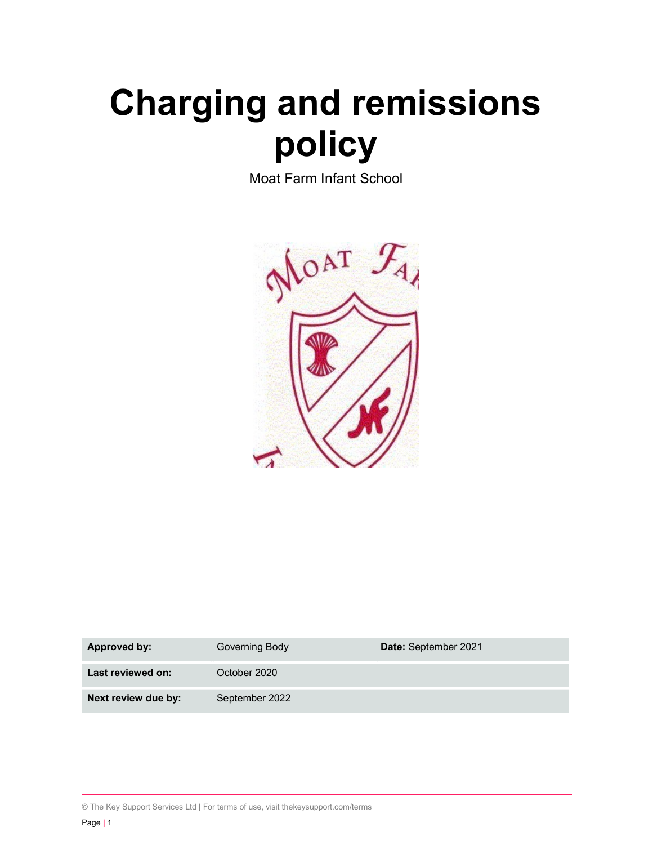# Charging and remissions policy

Moat Farm Infant School



| Approved by:        | Governing Body | Date: September 2021 |
|---------------------|----------------|----------------------|
| Last reviewed on:   | October 2020   |                      |
| Next review due by: | September 2022 |                      |

© The Key Support Services Ltd | For terms of use, visit thekeysupport.com/terms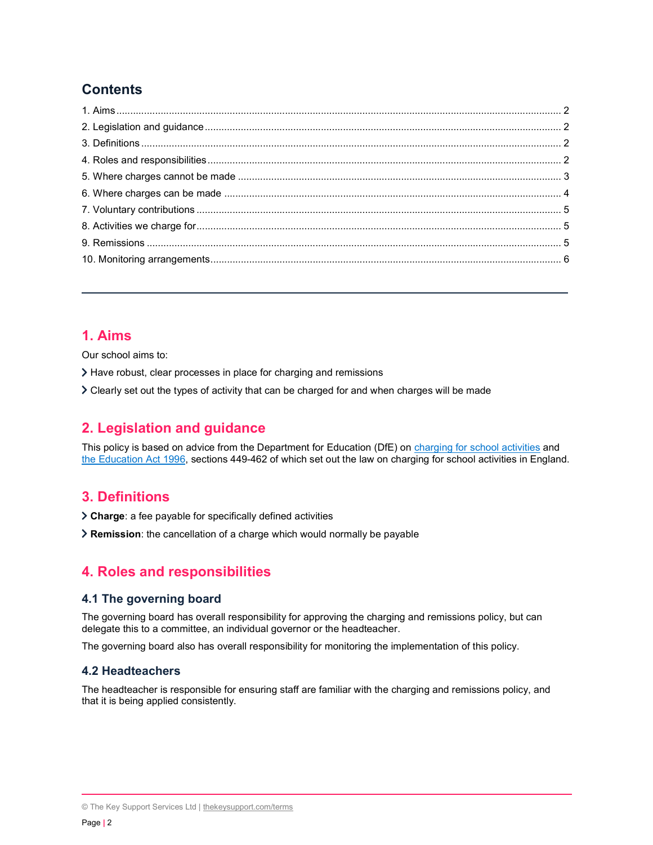# **Contents**

## 1. Aims

Our school aims to:

- Have robust, clear processes in place for charging and remissions
- Clearly set out the types of activity that can be charged for and when charges will be made

# 2. Legislation and guidance

This policy is based on advice from the Department for Education (DfE) on charging for school activities and the Education Act 1996, sections 449-462 of which set out the law on charging for school activities in England.

# 3. Definitions

Charge: a fee payable for specifically defined activities

Remission: the cancellation of a charge which would normally be payable

# 4. Roles and responsibilities

## 4.1 The governing board

The governing board has overall responsibility for approving the charging and remissions policy, but can delegate this to a committee, an individual governor or the headteacher.

The governing board also has overall responsibility for monitoring the implementation of this policy.

## 4.2 Headteachers

The headteacher is responsible for ensuring staff are familiar with the charging and remissions policy, and that it is being applied consistently.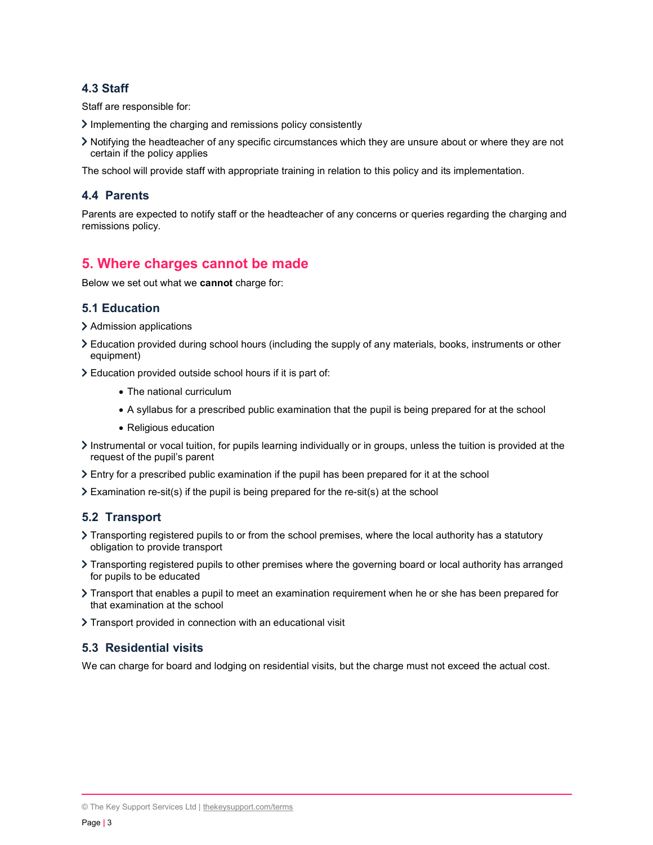## 4.3 Staff

Staff are responsible for:

- $\sum$  Implementing the charging and remissions policy consistently
- Notifying the headteacher of any specific circumstances which they are unsure about or where they are not certain if the policy applies

The school will provide staff with appropriate training in relation to this policy and its implementation.

#### 4.4 Parents

Parents are expected to notify staff or the headteacher of any concerns or queries regarding the charging and remissions policy.

## 5. Where charges cannot be made

Below we set out what we cannot charge for:

#### 5.1 Education

- > Admission applications
- Education provided during school hours (including the supply of any materials, books, instruments or other equipment)
- Education provided outside school hours if it is part of:
	- The national curriculum
	- A syllabus for a prescribed public examination that the pupil is being prepared for at the school
	- Religious education
- Instrumental or vocal tuition, for pupils learning individually or in groups, unless the tuition is provided at the request of the pupil's parent
- Entry for a prescribed public examination if the pupil has been prepared for it at the school
- $\geq$  Examination re-sit(s) if the pupil is being prepared for the re-sit(s) at the school

#### 5.2 Transport

- Transporting registered pupils to or from the school premises, where the local authority has a statutory obligation to provide transport
- Transporting registered pupils to other premises where the governing board or local authority has arranged for pupils to be educated
- Transport that enables a pupil to meet an examination requirement when he or she has been prepared for that examination at the school
- > Transport provided in connection with an educational visit

#### 5.3 Residential visits

We can charge for board and lodging on residential visits, but the charge must not exceed the actual cost.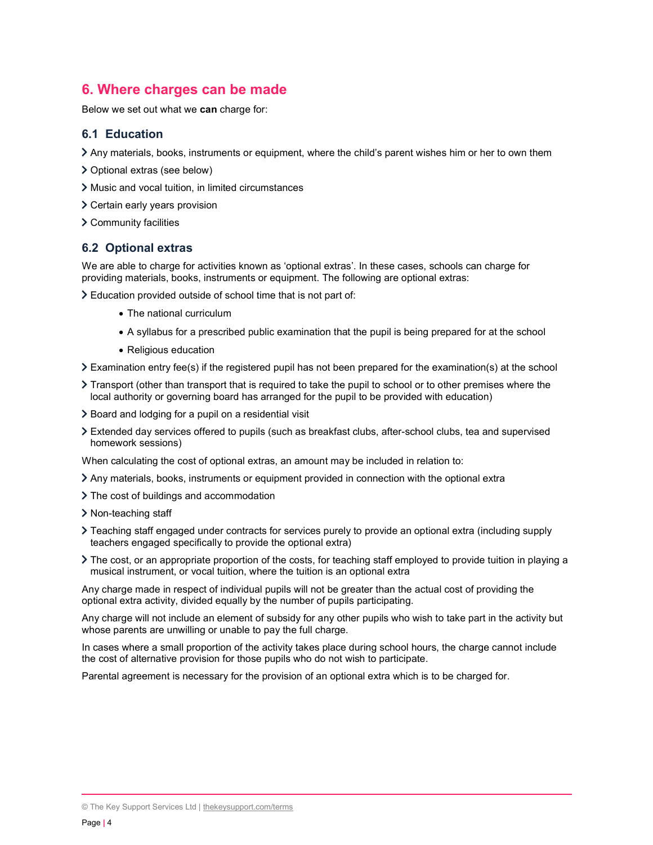# 6. Where charges can be made

Below we set out what we can charge for:

## 6.1 Education

- Any materials, books, instruments or equipment, where the child's parent wishes him or her to own them
- Optional extras (see below)
- Music and vocal tuition, in limited circumstances
- Certain early years provision
- Community facilities

## 6.2 Optional extras

We are able to charge for activities known as 'optional extras'. In these cases, schools can charge for providing materials, books, instruments or equipment. The following are optional extras:

Education provided outside of school time that is not part of:

- The national curriculum
- A syllabus for a prescribed public examination that the pupil is being prepared for at the school
- Religious education
- Examination entry fee(s) if the registered pupil has not been prepared for the examination(s) at the school
- Transport (other than transport that is required to take the pupil to school or to other premises where the local authority or governing board has arranged for the pupil to be provided with education)
- $\geq$  Board and lodging for a pupil on a residential visit
- Extended day services offered to pupils (such as breakfast clubs, after-school clubs, tea and supervised homework sessions)

When calculating the cost of optional extras, an amount may be included in relation to:

- Any materials, books, instruments or equipment provided in connection with the optional extra
- The cost of buildings and accommodation
- > Non-teaching staff
- Teaching staff engaged under contracts for services purely to provide an optional extra (including supply teachers engaged specifically to provide the optional extra)
- The cost, or an appropriate proportion of the costs, for teaching staff employed to provide tuition in playing a musical instrument, or vocal tuition, where the tuition is an optional extra

Any charge made in respect of individual pupils will not be greater than the actual cost of providing the optional extra activity, divided equally by the number of pupils participating.

Any charge will not include an element of subsidy for any other pupils who wish to take part in the activity but whose parents are unwilling or unable to pay the full charge.

In cases where a small proportion of the activity takes place during school hours, the charge cannot include the cost of alternative provision for those pupils who do not wish to participate.

Parental agreement is necessary for the provision of an optional extra which is to be charged for.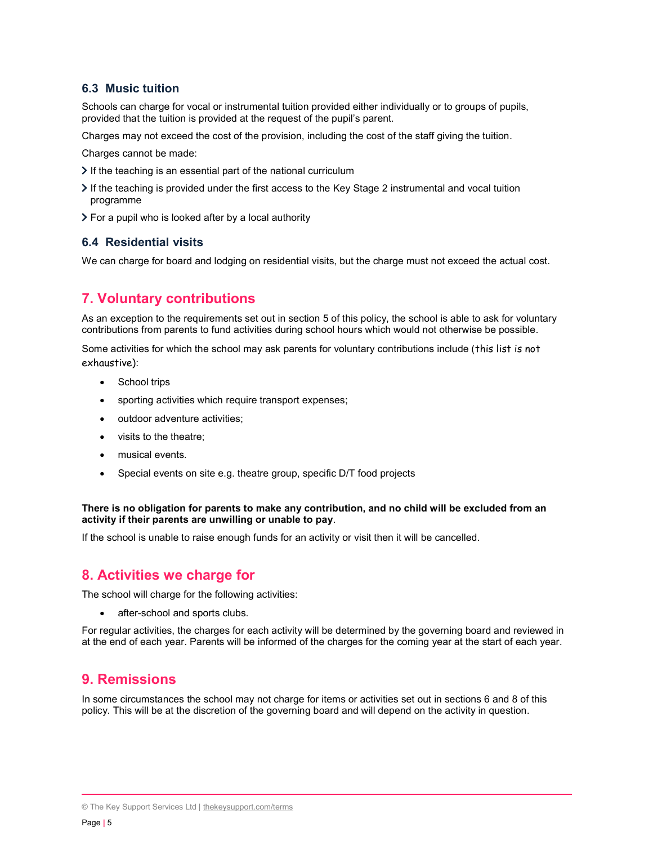## 6.3 Music tuition

Schools can charge for vocal or instrumental tuition provided either individually or to groups of pupils, provided that the tuition is provided at the request of the pupil's parent.

Charges may not exceed the cost of the provision, including the cost of the staff giving the tuition.

Charges cannot be made:

- $\triangleright$  If the teaching is an essential part of the national curriculum
- If the teaching is provided under the first access to the Key Stage 2 instrumental and vocal tuition programme
- $\triangleright$  For a pupil who is looked after by a local authority

## 6.4 Residential visits

We can charge for board and lodging on residential visits, but the charge must not exceed the actual cost.

# 7. Voluntary contributions

As an exception to the requirements set out in section 5 of this policy, the school is able to ask for voluntary contributions from parents to fund activities during school hours which would not otherwise be possible.

Some activities for which the school may ask parents for voluntary contributions include (this list is not exhaustive):

- School trips
- sporting activities which require transport expenses;
- outdoor adventure activities;
- visits to the theatre:
- musical events.
- Special events on site e.g. theatre group, specific D/T food projects

#### There is no obligation for parents to make any contribution, and no child will be excluded from an activity if their parents are unwilling or unable to pay.

If the school is unable to raise enough funds for an activity or visit then it will be cancelled.

## 8. Activities we charge for

The school will charge for the following activities:

• after-school and sports clubs.

For regular activities, the charges for each activity will be determined by the governing board and reviewed in at the end of each year. Parents will be informed of the charges for the coming year at the start of each year.

## 9. Remissions

In some circumstances the school may not charge for items or activities set out in sections 6 and 8 of this policy. This will be at the discretion of the governing board and will depend on the activity in question.